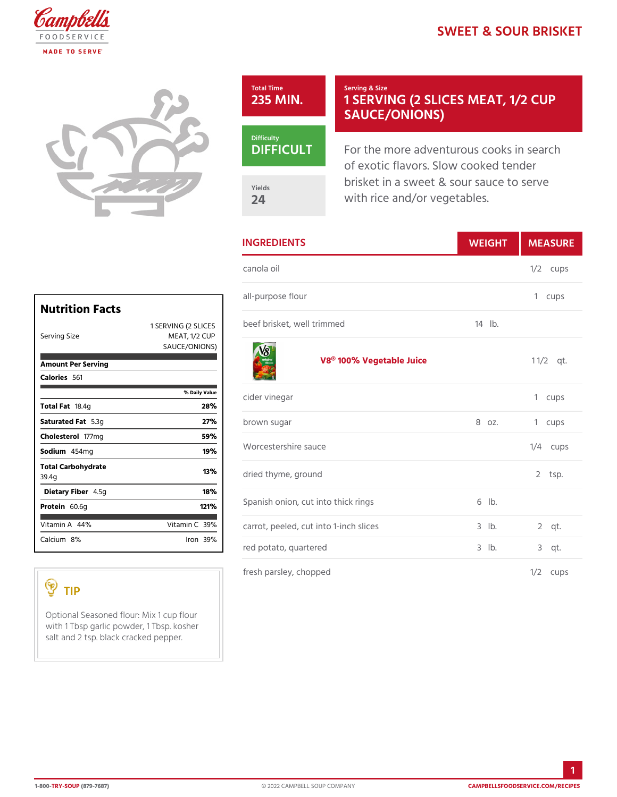## SWEET & SOUR BF

|                                                                          | Total Time<br>235 MIN                                                                                                             | Serving & Size<br>1 SERVING (2 SLICES M<br>SAUCE/ONIONS)                                                                            |              |
|--------------------------------------------------------------------------|-----------------------------------------------------------------------------------------------------------------------------------|-------------------------------------------------------------------------------------------------------------------------------------|--------------|
|                                                                          | Difficulty<br>DIFFICU<br>Yields<br>24                                                                                             | For the more adventurous cooks<br>of exotic flavors. Slow cooked<br>brisket in a sweet & sour sauce<br>with rice and/or vegetables. |              |
|                                                                          | <b>INGREDIENTS</b><br>WEIGH                                                                                                       |                                                                                                                                     | MEASU        |
|                                                                          | canola oil                                                                                                                        |                                                                                                                                     | $1/2$ cups   |
| <b>Nutrition Facts</b>                                                   | all-purpose flour<br>1 SERVING (2 SLOGEGS brisket, well trimmed                                                                   | 14 lb.                                                                                                                              | 1 cups       |
| Serving Size<br>MEAT, 1/2 CUP<br>S A U C E / O N   O N S)                |                                                                                                                                   |                                                                                                                                     |              |
| Amount Per Serving<br>Calorie5s61                                        |                                                                                                                                   | V8® 100% Vegetable Juice                                                                                                            | $1 \t1/2qt.$ |
| % Daily Value<br>28%                                                     | cider vinegar<br>brown sugar<br>8 oz.<br>Worcestershire sauce<br>dried thyme, ground<br>Spanish onion, cut into thick rings 6 lb. |                                                                                                                                     | 1 cups       |
| Total Fa8.4g<br>Saturated 5.3g<br>27%                                    |                                                                                                                                   |                                                                                                                                     | 1 cups       |
| Cholestet $\overline{d}$ $\overline{r}$ m g<br>59%<br>Sodium454mg<br>19% |                                                                                                                                   |                                                                                                                                     | $1/4$ cups   |
| Total Carbohydrate<br>13%<br>39.4g                                       |                                                                                                                                   |                                                                                                                                     | $2$ tsp.     |
| Dietary F4ib5eg<br>18%                                                   |                                                                                                                                   |                                                                                                                                     |              |
| Protei60.6g<br>121%                                                      |                                                                                                                                   |                                                                                                                                     |              |
| Vitamin4A <sup>%</sup><br>Vitamin30%                                     | carrot, peeled, cut into 1-inch slices3 lb.                                                                                       |                                                                                                                                     | $2$ qt.      |
| Calciu&n%<br>$l$ ron $39%$                                               | red potato, quartered                                                                                                             | $3$ $1b$ .                                                                                                                          | $3$ qt.      |
|                                                                          | fresh parsley, chopped                                                                                                            |                                                                                                                                     | $1/2$ cups   |

TIP

Optional Seasoned flour: Mix 1 cup flour with 1 Tbsp garlic powder,  $\vert$  1 Tbsp. kosher salt and 2 tsp. black cracked pepper.

1